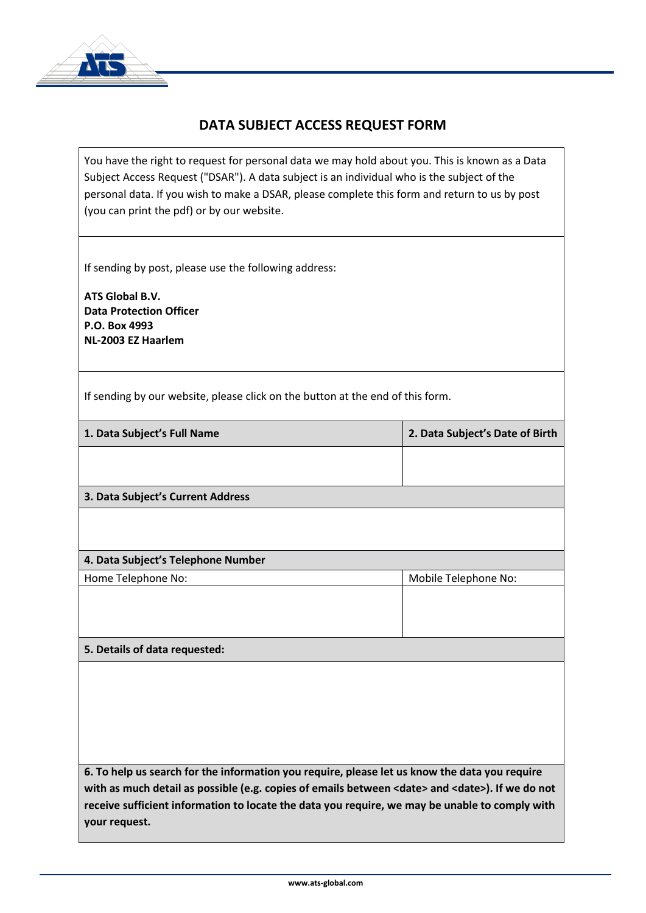

## **DATA SUBJECT ACCESS REQUEST FORM**

You have the right to request for personal data we may hold about you. This is known as a Data Subject Access Request ("DSAR"). A data subject is an individual who is the subject of the personal data. If you wish to make a DSAR, please complete this form and return to us by post (you can print the pdf) or by our website.

If sending by post, please use the following address:

**ATS Global B.V. Data Protection Officer P.O. Box 4993 NL-2003 EZ Haarlem**

If sending by our website, please click on the button at the end of this form.

| 1. Data Subject's Full Name                                                                                                                                                                                    | 2. Data Subject's Date of Birth |
|----------------------------------------------------------------------------------------------------------------------------------------------------------------------------------------------------------------|---------------------------------|
|                                                                                                                                                                                                                |                                 |
|                                                                                                                                                                                                                |                                 |
| 3. Data Subject's Current Address                                                                                                                                                                              |                                 |
|                                                                                                                                                                                                                |                                 |
|                                                                                                                                                                                                                |                                 |
| 4. Data Subject's Telephone Number                                                                                                                                                                             |                                 |
| Home Telephone No:                                                                                                                                                                                             | Mobile Telephone No:            |
|                                                                                                                                                                                                                |                                 |
|                                                                                                                                                                                                                |                                 |
|                                                                                                                                                                                                                |                                 |
| 5. Details of data requested:                                                                                                                                                                                  |                                 |
|                                                                                                                                                                                                                |                                 |
|                                                                                                                                                                                                                |                                 |
|                                                                                                                                                                                                                |                                 |
|                                                                                                                                                                                                                |                                 |
|                                                                                                                                                                                                                |                                 |
|                                                                                                                                                                                                                |                                 |
| 6. To help us search for the information you require, please let us know the data you require<br>with as much detail as possible (e.g. copies of emails between <date> and <date>). If we do not</date></date> |                                 |
| receive sufficient information to locate the data you require, we may be unable to comply with                                                                                                                 |                                 |
| your request.                                                                                                                                                                                                  |                                 |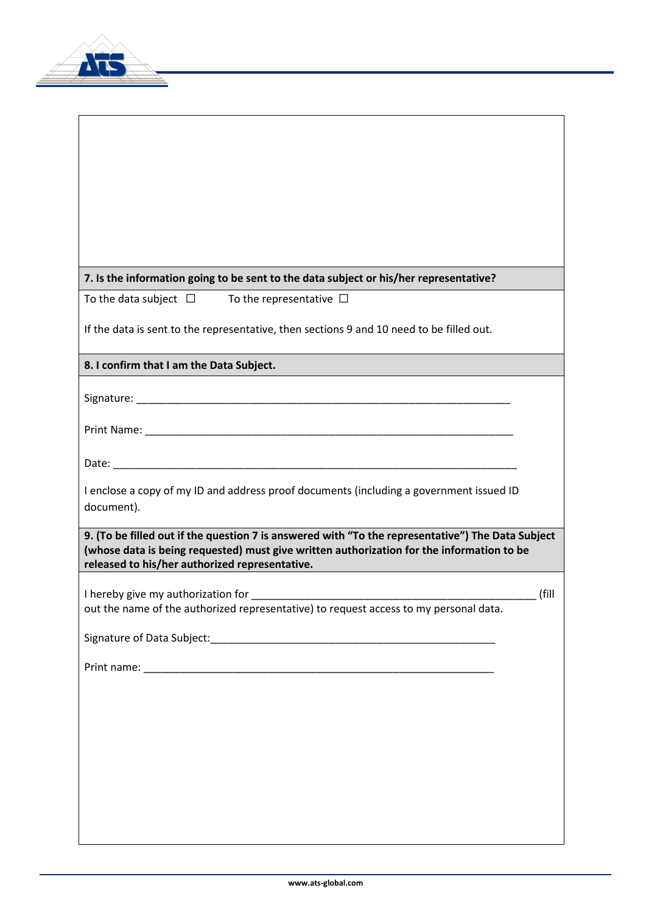

| 7. Is the information going to be sent to the data subject or his/her representative?                                                       |       |
|---------------------------------------------------------------------------------------------------------------------------------------------|-------|
| To the data subject $\Box$ To the representative $\Box$                                                                                     |       |
| If the data is sent to the representative, then sections 9 and 10 need to be filled out.                                                    |       |
| 8. I confirm that I am the Data Subject.                                                                                                    |       |
|                                                                                                                                             |       |
|                                                                                                                                             |       |
|                                                                                                                                             |       |
|                                                                                                                                             |       |
| I enclose a copy of my ID and address proof documents (including a government issued ID<br>document).                                       |       |
| 9. (To be filled out if the question 7 is answered with "To the representative") The Data Subject                                           |       |
| (whose data is being requested) must give written authorization for the information to be<br>released to his/her authorized representative. |       |
| I hereby give my authorization for                                                                                                          | (fill |
| out the name of the authorized representative) to request access to my personal data.                                                       |       |
|                                                                                                                                             |       |
|                                                                                                                                             |       |
|                                                                                                                                             |       |
|                                                                                                                                             |       |
|                                                                                                                                             |       |
|                                                                                                                                             |       |
|                                                                                                                                             |       |
|                                                                                                                                             |       |
|                                                                                                                                             |       |

ヿ